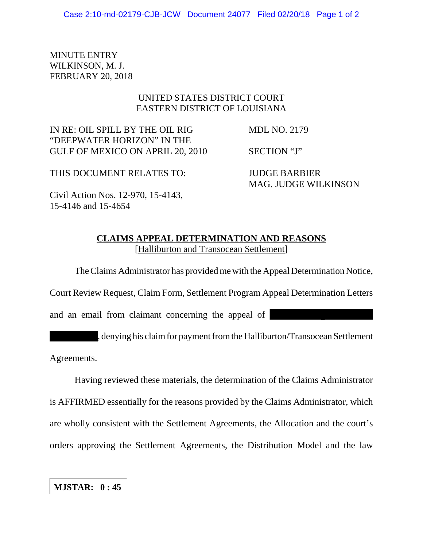MINUTE ENTRY WILKINSON, M. J. FEBRUARY 20, 2018

## UNITED STATES DISTRICT COURT EASTERN DISTRICT OF LOUISIANA

IN RE: OIL SPILL BY THE OIL RIG MDL NO. 2179 "DEEPWATER HORIZON" IN THE GULF OF MEXICO ON APRIL 20, 2010 SECTION "J"

THIS DOCUMENT RELATES TO: JUDGE BARBIER

MAG. JUDGE WILKINSON

Civil Action Nos. 12-970, 15-4143, 15-4146 and 15-4654

## **CLAIMS APPEAL DETERMINATION AND REASONS** [Halliburton and Transocean Settlement]

The Claims Administrator has provided me with the Appeal Determination Notice,

Court Review Request, Claim Form, Settlement Program Appeal Determination Letters

and an email from claimant concerning the appeal of

, denying his claim for payment from the Halliburton/Transocean Settlement

Agreements.

Having reviewed these materials, the determination of the Claims Administrator is AFFIRMED essentially for the reasons provided by the Claims Administrator, which are wholly consistent with the Settlement Agreements, the Allocation and the court's orders approving the Settlement Agreements, the Distribution Model and the law

**MJSTAR: 0 : 45**